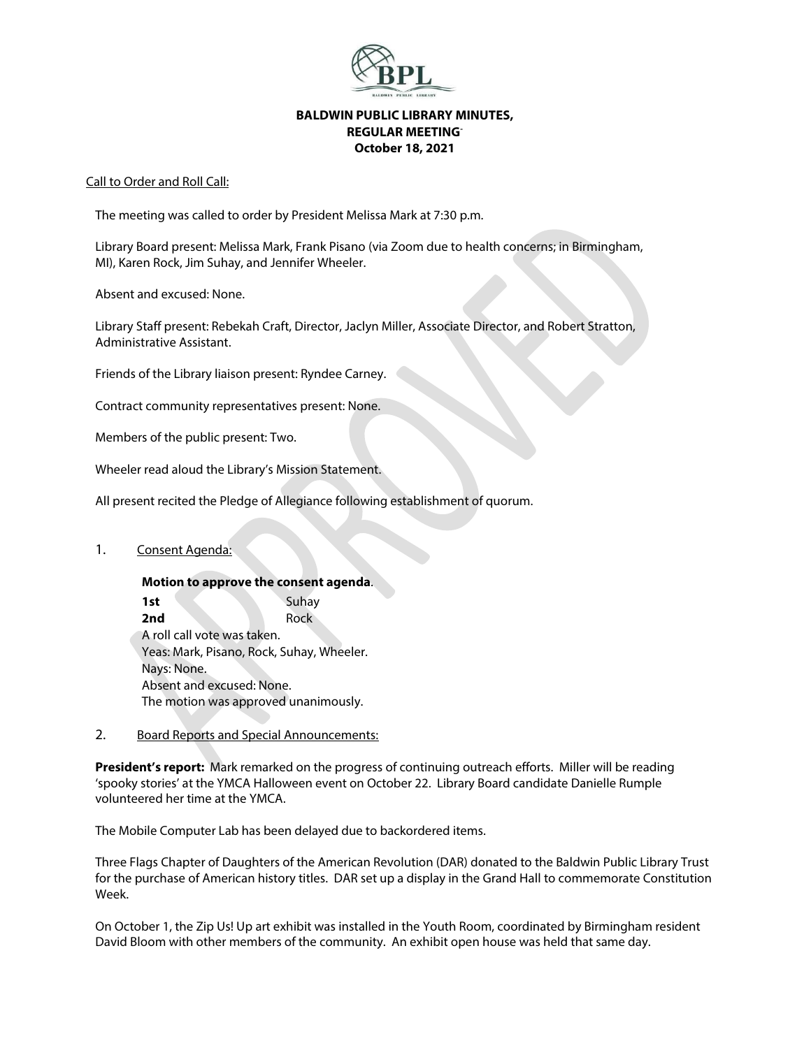

## **BALDWIN PUBLIC LIBRARY MINUTES, REGULAR MEETING-October 18, 2021**

### Call to Order and Roll Call:

The meeting was called to order by President Melissa Mark at 7:30 p.m.

Library Board present: Melissa Mark, Frank Pisano (via Zoom due to health concerns; in Birmingham, MI), Karen Rock, Jim Suhay, and Jennifer Wheeler.

Absent and excused: None.

Library Staff present: Rebekah Craft, Director, Jaclyn Miller, Associate Director, and Robert Stratton, Administrative Assistant.

Friends of the Library liaison present: Ryndee Carney.

Contract community representatives present: None.

Members of the public present: Two.

Wheeler read aloud the Library's Mission Statement.

All present recited the Pledge of Allegiance following establishment of quorum.

## 1. Consent Agenda:

**Motion to approve the consent agenda**. **1st** Suhay **2nd** Rock A roll call vote was taken. Yeas: Mark, Pisano, Rock, Suhay, Wheeler. Nays: None. Absent and excused: None. The motion was approved unanimously.

## 2. Board Reports and Special Announcements:

**President's report:** Mark remarked on the progress of continuing outreach efforts. Miller will be reading 'spooky stories' at the YMCA Halloween event on October 22. Library Board candidate Danielle Rumple volunteered her time at the YMCA.

The Mobile Computer Lab has been delayed due to backordered items.

Three Flags Chapter of Daughters of the American Revolution (DAR) donated to the Baldwin Public Library Trust for the purchase of American history titles. DAR set up a display in the Grand Hall to commemorate Constitution Week.

On October 1, the Zip Us! Up art exhibit was installed in the Youth Room, coordinated by Birmingham resident David Bloom with other members of the community. An exhibit open house was held that same day.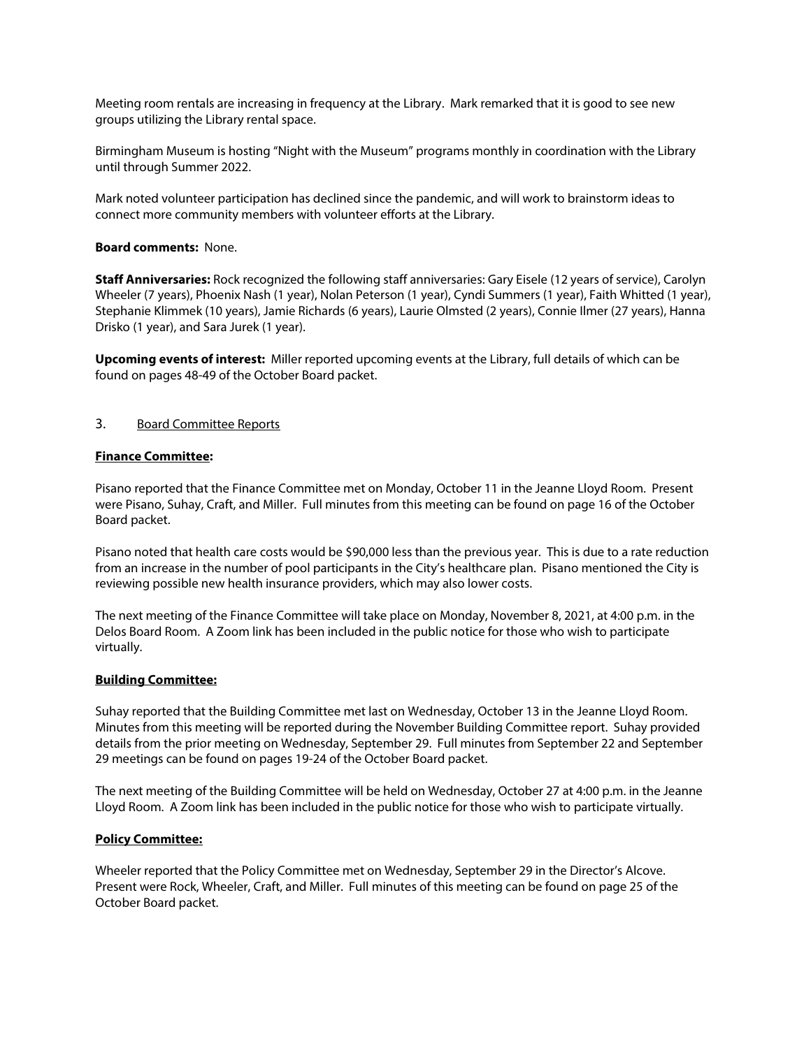Meeting room rentals are increasing in frequency at the Library. Mark remarked that it is good to see new groups utilizing the Library rental space.

Birmingham Museum is hosting "Night with the Museum" programs monthly in coordination with the Library until through Summer 2022.

Mark noted volunteer participation has declined since the pandemic, and will work to brainstorm ideas to connect more community members with volunteer efforts at the Library.

### **Board comments:** None.

**Staff Anniversaries:** Rock recognized the following staff anniversaries: Gary Eisele (12 years of service), Carolyn Wheeler (7 years), Phoenix Nash (1 year), Nolan Peterson (1 year), Cyndi Summers (1 year), Faith Whitted (1 year), Stephanie Klimmek (10 years), Jamie Richards (6 years), Laurie Olmsted (2 years), Connie Ilmer (27 years), Hanna Drisko (1 year), and Sara Jurek (1 year).

**Upcoming events of interest:** Miller reported upcoming events at the Library, full details of which can be found on pages 48-49 of the October Board packet.

### 3. Board Committee Reports

#### **Finance Committee:**

Pisano reported that the Finance Committee met on Monday, October 11 in the Jeanne Lloyd Room. Present were Pisano, Suhay, Craft, and Miller. Full minutes from this meeting can be found on page 16 of the October Board packet.

Pisano noted that health care costs would be \$90,000 less than the previous year. This is due to a rate reduction from an increase in the number of pool participants in the City's healthcare plan. Pisano mentioned the City is reviewing possible new health insurance providers, which may also lower costs.

The next meeting of the Finance Committee will take place on Monday, November 8, 2021, at 4:00 p.m. in the Delos Board Room. A Zoom link has been included in the public notice for those who wish to participate virtually.

#### **Building Committee:**

Suhay reported that the Building Committee met last on Wednesday, October 13 in the Jeanne Lloyd Room. Minutes from this meeting will be reported during the November Building Committee report. Suhay provided details from the prior meeting on Wednesday, September 29. Full minutes from September 22 and September 29 meetings can be found on pages 19-24 of the October Board packet.

The next meeting of the Building Committee will be held on Wednesday, October 27 at 4:00 p.m. in the Jeanne Lloyd Room. A Zoom link has been included in the public notice for those who wish to participate virtually.

#### **Policy Committee:**

Wheeler reported that the Policy Committee met on Wednesday, September 29 in the Director's Alcove. Present were Rock, Wheeler, Craft, and Miller. Full minutes of this meeting can be found on page 25 of the October Board packet.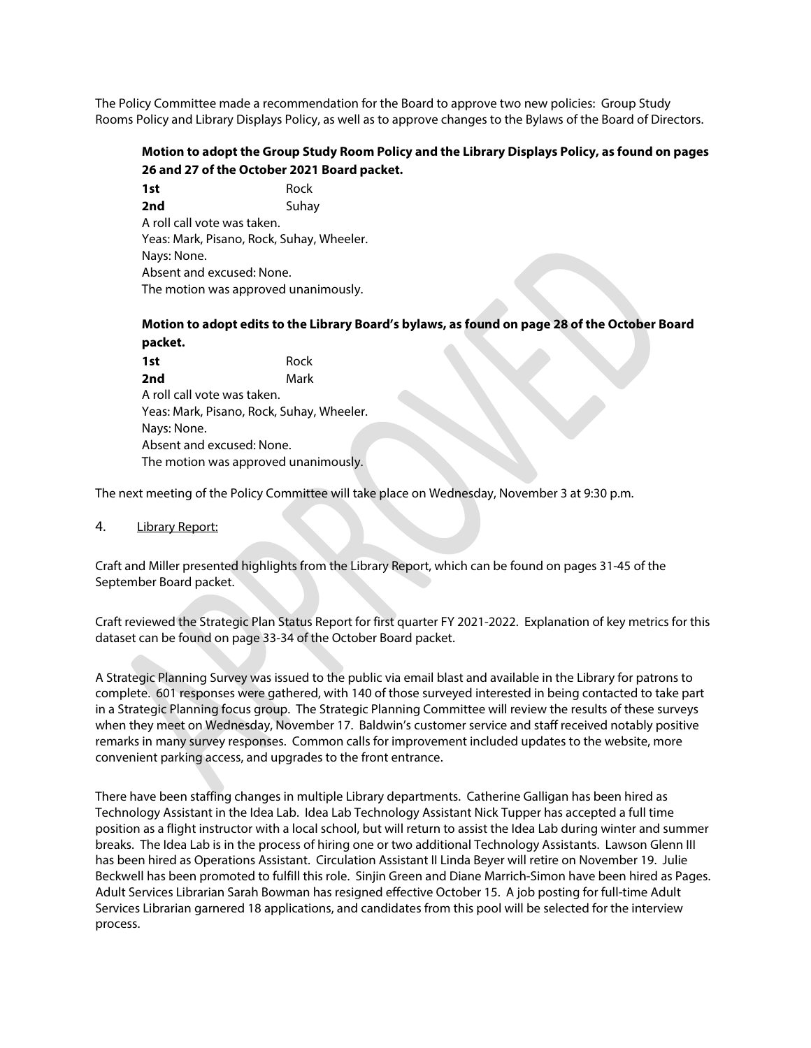The Policy Committee made a recommendation for the Board to approve two new policies: Group Study Rooms Policy and Library Displays Policy, as well as to approve changes to the Bylaws of the Board of Directors.

# **Motion to adopt the Group Study Room Policy and the Library Displays Policy, as found on pages 26 and 27 of the October 2021 Board packet.**

**1st** Rock **2nd** Suhav A roll call vote was taken. Yeas: Mark, Pisano, Rock, Suhay, Wheeler. Nays: None. Absent and excused: None. The motion was approved unanimously.

## **Motion to adopt edits to the Library Board's bylaws, as found on page 28 of the October Board packet.**

**1st** Rock **2nd** Mark A roll call vote was taken. Yeas: Mark, Pisano, Rock, Suhay, Wheeler. Nays: None. Absent and excused: None. The motion was approved unanimously.

The next meeting of the Policy Committee will take place on Wednesday, November 3 at 9:30 p.m.

### 4. Library Report:

Craft and Miller presented highlights from the Library Report, which can be found on pages 31-45 of the September Board packet.

Craft reviewed the Strategic Plan Status Report for first quarter FY 2021-2022. Explanation of key metrics for this dataset can be found on page 33-34 of the October Board packet.

A Strategic Planning Survey was issued to the public via email blast and available in the Library for patrons to complete. 601 responses were gathered, with 140 of those surveyed interested in being contacted to take part in a Strategic Planning focus group. The Strategic Planning Committee will review the results of these surveys when they meet on Wednesday, November 17. Baldwin's customer service and staff received notably positive remarks in many survey responses. Common calls for improvement included updates to the website, more convenient parking access, and upgrades to the front entrance.

There have been staffing changes in multiple Library departments. Catherine Galligan has been hired as Technology Assistant in the Idea Lab. Idea Lab Technology Assistant Nick Tupper has accepted a full time position as a flight instructor with a local school, but will return to assist the Idea Lab during winter and summer breaks. The Idea Lab is in the process of hiring one or two additional Technology Assistants. Lawson Glenn III has been hired as Operations Assistant. Circulation Assistant II Linda Beyer will retire on November 19. Julie Beckwell has been promoted to fulfill this role. Sinjin Green and Diane Marrich-Simon have been hired as Pages. Adult Services Librarian Sarah Bowman has resigned effective October 15. A job posting for full-time Adult Services Librarian garnered 18 applications, and candidates from this pool will be selected for the interview process.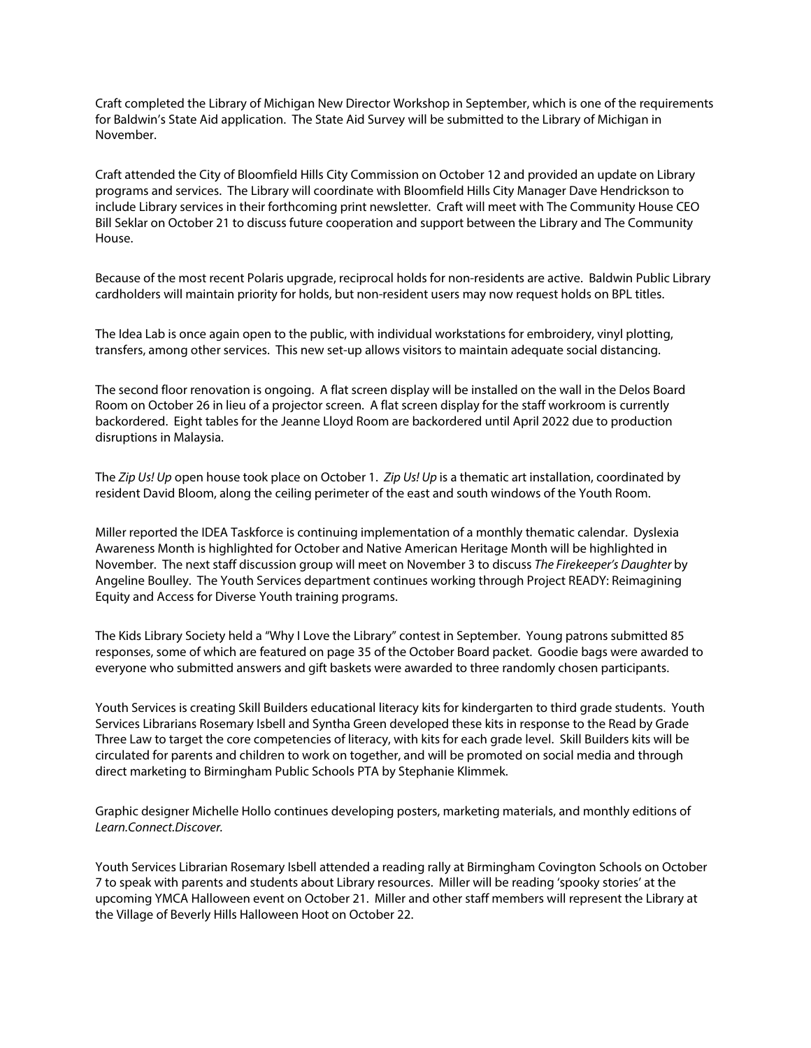Craft completed the Library of Michigan New Director Workshop in September, which is one of the requirements for Baldwin's State Aid application. The State Aid Survey will be submitted to the Library of Michigan in November.

Craft attended the City of Bloomfield Hills City Commission on October 12 and provided an update on Library programs and services. The Library will coordinate with Bloomfield Hills City Manager Dave Hendrickson to include Library services in their forthcoming print newsletter. Craft will meet with The Community House CEO Bill Seklar on October 21 to discuss future cooperation and support between the Library and The Community House.

Because of the most recent Polaris upgrade, reciprocal holds for non-residents are active. Baldwin Public Library cardholders will maintain priority for holds, but non-resident users may now request holds on BPL titles.

The Idea Lab is once again open to the public, with individual workstations for embroidery, vinyl plotting, transfers, among other services. This new set-up allows visitors to maintain adequate social distancing.

The second floor renovation is ongoing. A flat screen display will be installed on the wall in the Delos Board Room on October 26 in lieu of a projector screen. A flat screen display for the staff workroom is currently backordered. Eight tables for the Jeanne Lloyd Room are backordered until April 2022 due to production disruptions in Malaysia.

The *Zip Us! Up* open house took place on October 1. *Zip Us! Up* is a thematic art installation, coordinated by resident David Bloom, along the ceiling perimeter of the east and south windows of the Youth Room.

Miller reported the IDEA Taskforce is continuing implementation of a monthly thematic calendar. Dyslexia Awareness Month is highlighted for October and Native American Heritage Month will be highlighted in November. The next staff discussion group will meet on November 3 to discuss *The Firekeeper's Daughter* by Angeline Boulley. The Youth Services department continues working through Project READY: Reimagining Equity and Access for Diverse Youth training programs.

The Kids Library Society held a "Why I Love the Library" contest in September. Young patrons submitted 85 responses, some of which are featured on page 35 of the October Board packet. Goodie bags were awarded to everyone who submitted answers and gift baskets were awarded to three randomly chosen participants.

Youth Services is creating Skill Builders educational literacy kits for kindergarten to third grade students. Youth Services Librarians Rosemary Isbell and Syntha Green developed these kits in response to the Read by Grade Three Law to target the core competencies of literacy, with kits for each grade level. Skill Builders kits will be circulated for parents and children to work on together, and will be promoted on social media and through direct marketing to Birmingham Public Schools PTA by Stephanie Klimmek.

Graphic designer Michelle Hollo continues developing posters, marketing materials, and monthly editions of *Learn.Connect.Discover.*

Youth Services Librarian Rosemary Isbell attended a reading rally at Birmingham Covington Schools on October 7 to speak with parents and students about Library resources. Miller will be reading 'spooky stories' at the upcoming YMCA Halloween event on October 21. Miller and other staff members will represent the Library at the Village of Beverly Hills Halloween Hoot on October 22.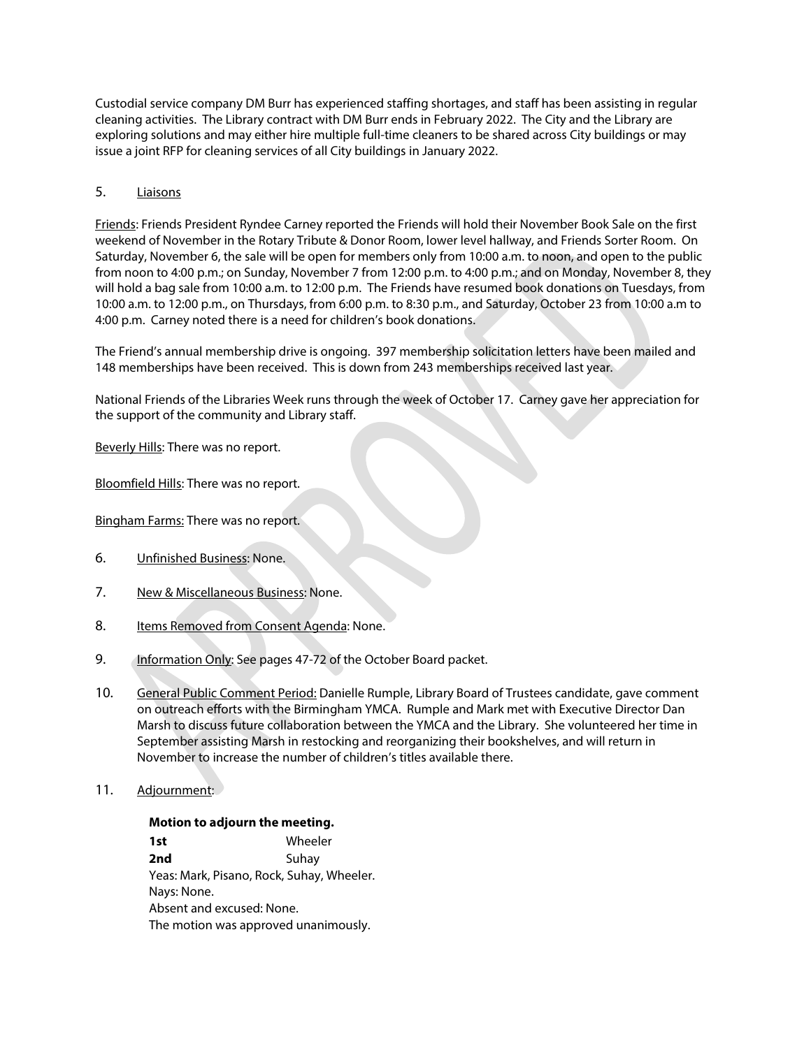Custodial service company DM Burr has experienced staffing shortages, and staff has been assisting in regular cleaning activities. The Library contract with DM Burr ends in February 2022. The City and the Library are exploring solutions and may either hire multiple full-time cleaners to be shared across City buildings or may issue a joint RFP for cleaning services of all City buildings in January 2022.

## 5. Liaisons

Friends: Friends President Ryndee Carney reported the Friends will hold their November Book Sale on the first weekend of November in the Rotary Tribute & Donor Room, lower level hallway, and Friends Sorter Room. On Saturday, November 6, the sale will be open for members only from 10:00 a.m. to noon, and open to the public from noon to 4:00 p.m.; on Sunday, November 7 from 12:00 p.m. to 4:00 p.m.; and on Monday, November 8, they will hold a bag sale from 10:00 a.m. to 12:00 p.m. The Friends have resumed book donations on Tuesdays, from 10:00 a.m. to 12:00 p.m., on Thursdays, from 6:00 p.m. to 8:30 p.m., and Saturday, October 23 from 10:00 a.m to 4:00 p.m. Carney noted there is a need for children's book donations.

The Friend's annual membership drive is ongoing. 397 membership solicitation letters have been mailed and 148 memberships have been received. This is down from 243 memberships received last year.

National Friends of the Libraries Week runs through the week of October 17. Carney gave her appreciation for the support of the community and Library staff.

Beverly Hills: There was no report.

Bloomfield Hills: There was no report.

Bingham Farms: There was no report.

- 6. Unfinished Business: None.
- 7. New & Miscellaneous Business: None.
- 8. Items Removed from Consent Agenda: None.
- 9. Information Only: See pages 47-72 of the October Board packet.
- 10. General Public Comment Period: Danielle Rumple, Library Board of Trustees candidate, gave comment on outreach efforts with the Birmingham YMCA. Rumple and Mark met with Executive Director Dan Marsh to discuss future collaboration between the YMCA and the Library. She volunteered her time in September assisting Marsh in restocking and reorganizing their bookshelves, and will return in November to increase the number of children's titles available there.
- 11. Adjournment:

#### **Motion to adjourn the meeting.**

**1st** Wheeler **2nd** Suhay Yeas: Mark, Pisano, Rock, Suhay, Wheeler. Nays: None. Absent and excused: None. The motion was approved unanimously.